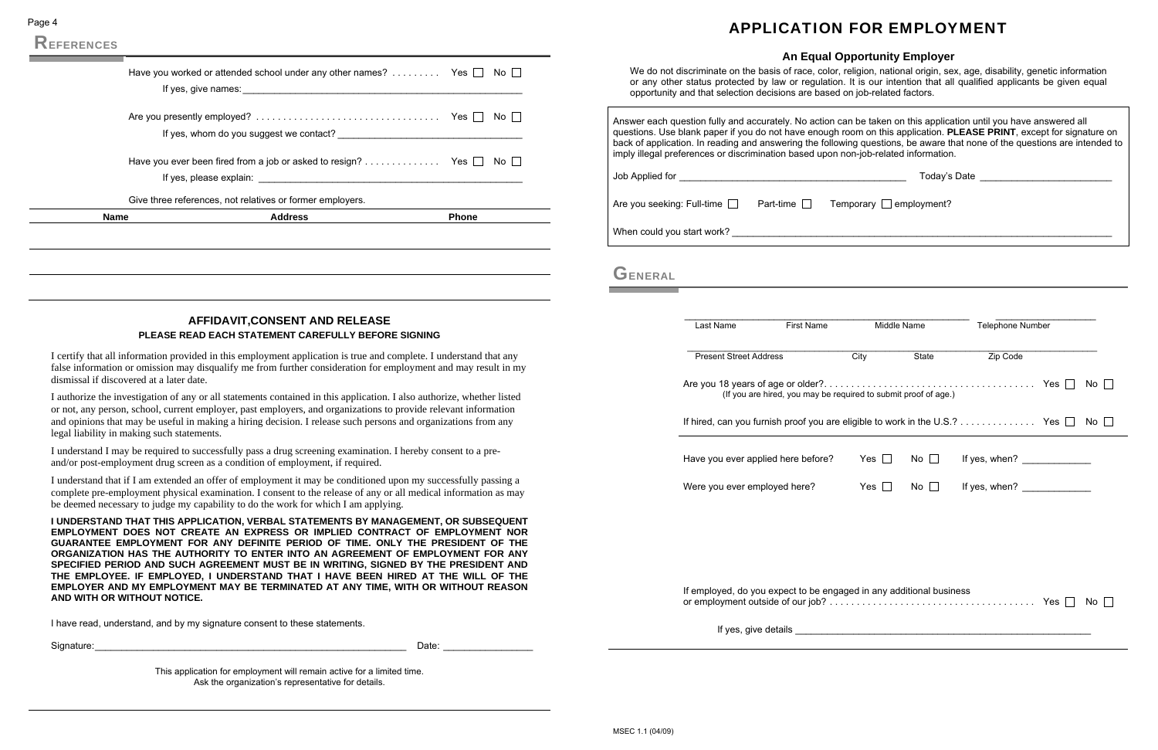Page 4

|             | Have you ever been fired from a job or asked to resign? Yes $\Box$ No $\Box$ |              |
|-------------|------------------------------------------------------------------------------|--------------|
|             | Give three references, not relatives or former employers.                    |              |
| <b>Name</b> | <b>Address</b>                                                               | <b>Phone</b> |

### **AFFIDAVIT,CONSENT AND RELEASE PLEASE READ EACH STATEMENT CAREFULLY BEFORE SIGNING**

I certify that all information provided in this employment application is true and complete. I understand that any false information or omission may disqualify me from further consideration for employment and may result in my dismissal if discovered at a later date.

I authorize the investigation of any or all statements contained in this application. I also authorize, whether listed or not, any person, school, current employer, past employers, and organizations to provide relevant information and opinions that may be useful in making a hiring decision. I release such persons and organizations from any legal liability in making such statements.

I understand I may be required to successfully pass a drug screening examination. I hereby consent to a preand/or post-employment drug screen as a condition of employment, if required.

I understand that if I am extended an offer of employment it may be conditioned upon my successfully passing a complete pre-employment physical examination. I consent to the release of any or all medical information as may be deemed necessary to judge my capability to do the work for which I am applying.

**I UNDERSTAND THAT THIS APPLICATION, VERBAL STATEMENTS BY MANAGEMENT, OR SUBSEQUENT EMPLOYMENT DOES NOT CREATE AN EXPRESS OR IMPLIED CONTRACT OF EMPLOYMENT NOR GUARANTEE EMPLOYMENT FOR ANY DEFINITE PERIOD OF TIME. ONLY THE PRESIDENT OF THE ORGANIZATION HAS THE AUTHORITY TO ENTER INTO AN AGREEMENT OF EMPLOYMENT FOR ANY SPECIFIED PERIOD AND SUCH AGREEMENT MUST BE IN WRITING, SIGNED BY THE PRESIDENT AND THE EMPLOYEE. IF EMPLOYED, I UNDERSTAND THAT I HAVE BEEN HIRED AT THE WILL OF THE EMPLOYER AND MY EMPLOYMENT MAY BE TERMINATED AT ANY TIME, WITH OR WITHOUT REASON AND WITH OR WITHOUT NOTICE.** 

I have read, understand, and by my signature consent to these statements.

| <b>.</b><br>Siai | アーバー<br>$\sim$<br>$- - - - - -$ |  |
|------------------|---------------------------------|--|
|------------------|---------------------------------|--|

This application for employment will remain active for a limited time. Ask the organization's representative for details.

## APPLICATION FOR EMPLOYMENT

| <b>An Equal Opportunity Employer</b> |  |  |  |
|--------------------------------------|--|--|--|
|                                      |  |  |  |

|         | We do not discriminate on the basis of race, color, religion, national origin, sex, age, disability, genetic information<br>or any other status protected by law or regulation. It is our intention that all qualified applicants be given equal<br>opportunity and that selection decisions are based on job-related factors.                                                                                                                                         | $1.11$ Equal Opportunity Employer |           |                                    |           |
|---------|------------------------------------------------------------------------------------------------------------------------------------------------------------------------------------------------------------------------------------------------------------------------------------------------------------------------------------------------------------------------------------------------------------------------------------------------------------------------|-----------------------------------|-----------|------------------------------------|-----------|
|         | Answer each question fully and accurately. No action can be taken on this application until you have answered all<br>questions. Use blank paper if you do not have enough room on this application. <b>PLEASE PRINT</b> , except for signature on<br>back of application. In reading and answering the following questions, be aware that none of the questions are intended to<br>imply illegal preferences or discrimination based upon non-job-related information. |                                   |           |                                    |           |
|         |                                                                                                                                                                                                                                                                                                                                                                                                                                                                        |                                   |           | Today's Date _____________________ |           |
|         | Are you seeking: Full-time $\Box$ Part-time $\Box$                                                                                                                                                                                                                                                                                                                                                                                                                     | Temporary □ employment?           |           |                                    |           |
|         |                                                                                                                                                                                                                                                                                                                                                                                                                                                                        |                                   |           |                                    |           |
| GENERAL |                                                                                                                                                                                                                                                                                                                                                                                                                                                                        |                                   |           |                                    |           |
|         | <b>First Name</b><br>Last Name                                                                                                                                                                                                                                                                                                                                                                                                                                         | Middle Name                       |           | Telephone Number                   |           |
|         | <b>Present Street Address</b>                                                                                                                                                                                                                                                                                                                                                                                                                                          | City                              | State     | Zip Code                           |           |
|         | (If you are hired, you may be required to submit proof of age.)                                                                                                                                                                                                                                                                                                                                                                                                        |                                   |           |                                    | No $\Box$ |
|         | If hired, can you furnish proof you are eligible to work in the U.S.? Yes $\Box$                                                                                                                                                                                                                                                                                                                                                                                       |                                   |           |                                    | No II     |
|         | Have you ever applied here before?                                                                                                                                                                                                                                                                                                                                                                                                                                     | Yes $\Box$                        | No $\Box$ | If yes, when?                      |           |
|         | Were you ever employed here?                                                                                                                                                                                                                                                                                                                                                                                                                                           | Yes $\square$                     | No $\Box$ | If yes, when?                      |           |
|         |                                                                                                                                                                                                                                                                                                                                                                                                                                                                        |                                   |           |                                    |           |
|         | If employed, do you expect to be engaged in any additional business                                                                                                                                                                                                                                                                                                                                                                                                    |                                   |           |                                    | No l      |
|         |                                                                                                                                                                                                                                                                                                                                                                                                                                                                        |                                   |           |                                    |           |
|         |                                                                                                                                                                                                                                                                                                                                                                                                                                                                        |                                   |           |                                    |           |